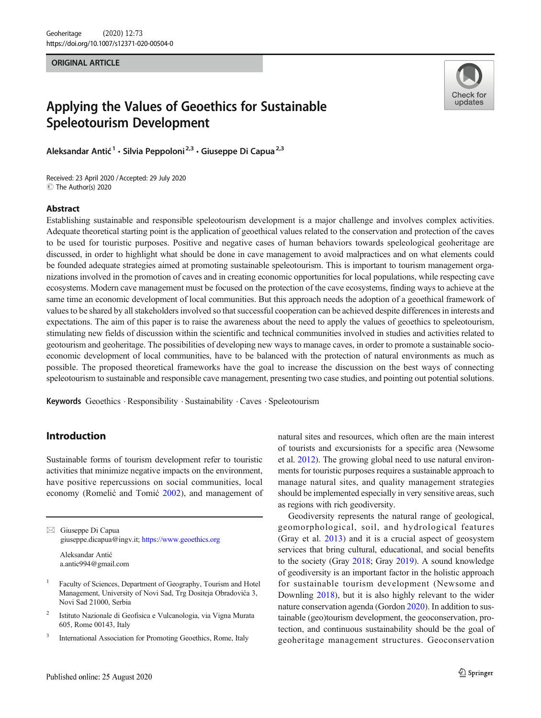#### ORIGINAL ARTICLE



# Applying the Values of Geoethics for Sustainable Speleotourism Development

Aleksandar Antić<sup>1</sup> · Silvia Peppoloni<sup>2,3</sup> · Giuseppe Di Capua<sup>2,3</sup>

Received: 23 April 2020 /Accepted: 29 July 2020 C The Author(s) 2020

### Abstract

Establishing sustainable and responsible speleotourism development is a major challenge and involves complex activities. Adequate theoretical starting point is the application of geoethical values related to the conservation and protection of the caves to be used for touristic purposes. Positive and negative cases of human behaviors towards speleological geoheritage are discussed, in order to highlight what should be done in cave management to avoid malpractices and on what elements could be founded adequate strategies aimed at promoting sustainable speleotourism. This is important to tourism management organizations involved in the promotion of caves and in creating economic opportunities for local populations, while respecting cave ecosystems. Modern cave management must be focused on the protection of the cave ecosystems, finding ways to achieve at the same time an economic development of local communities. But this approach needs the adoption of a geoethical framework of values to be shared by all stakeholders involved so that successful cooperation can be achieved despite differences in interests and expectations. The aim of this paper is to raise the awareness about the need to apply the values of geoethics to speleotourism, stimulating new fields of discussion within the scientific and technical communities involved in studies and activities related to geotourism and geoheritage. The possibilities of developing new ways to manage caves, in order to promote a sustainable socioeconomic development of local communities, have to be balanced with the protection of natural environments as much as possible. The proposed theoretical frameworks have the goal to increase the discussion on the best ways of connecting speleotourism to sustainable and responsible cave management, presenting two case studies, and pointing out potential solutions.

Keywords Geoethics . Responsibility . Sustainability . Caves . Speleotourism

# Introduction

Sustainable forms of tourism development refer to touristic activities that minimize negative impacts on the environment, have positive repercussions on social communities, local economy (Romelić and Tomić [2002](#page-8-0)), and management of

 $\boxtimes$  Giuseppe Di Capua [giuseppe.dicapua@ingv.it;](mailto:giuseppe.dicapua@ingv.it) https://www.geoethics.org Aleksandar Antić

a.antic994@gmail.com

- <sup>2</sup> Istituto Nazionale di Geofisica e Vulcanologia, via Vigna Murata 605, Rome 00143, Italy
- <sup>3</sup> International Association for Promoting Geoethics, Rome, Italy

natural sites and resources, which often are the main interest of tourists and excursionists for a specific area (Newsome et al. [2012](#page-7-0)). The growing global need to use natural environments for touristic purposes requires a sustainable approach to manage natural sites, and quality management strategies should be implemented especially in very sensitive areas, such as regions with rich geodiversity.

Geodiversity represents the natural range of geological, geomorphological, soil, and hydrological features (Gray et al. [2013\)](#page-7-0) and it is a crucial aspect of geosystem services that bring cultural, educational, and social benefits to the society (Gray [2018;](#page-7-0) Gray [2019\)](#page-7-0). A sound knowledge of geodiversity is an important factor in the holistic approach for sustainable tourism development (Newsome and Downling [2018\)](#page-7-0), but it is also highly relevant to the wider nature conservation agenda (Gordon [2020\)](#page-7-0). In addition to sustainable (geo)tourism development, the geoconservation, protection, and continuous sustainability should be the goal of geoheritage management structures. Geoconservation

<sup>1</sup> Faculty of Sciences, Department of Geography, Tourism and Hotel Management, University of Novi Sad, Trg Dositeja Obradovića 3, Novi Sad 21000, Serbia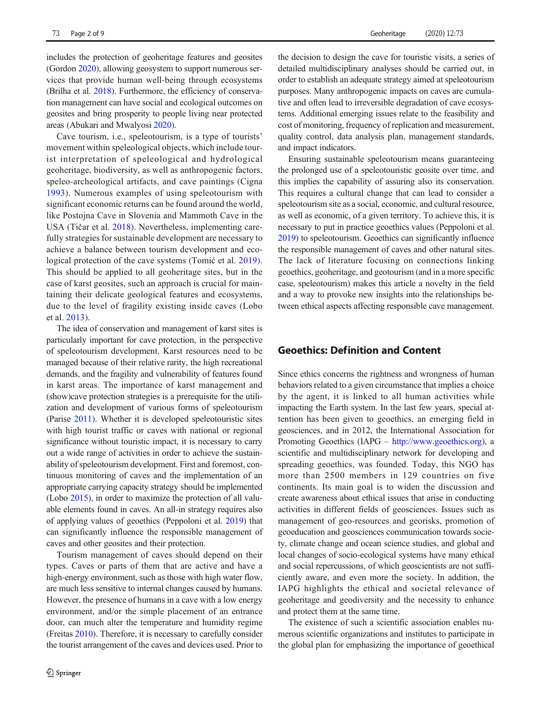includes the protection of geoheritage features and geosites (Gordon [2020\)](#page-7-0), allowing geosystem to support numerous services that provide human well-being through ecosystems (Brilha et al. [2018\)](#page-7-0). Furthermore, the efficiency of conservation management can have social and ecological outcomes on geosites and bring prosperity to people living near protected areas (Abukari and Mwalyosi [2020\)](#page-7-0).

Cave tourism, i.e., speleotourism, is a type of tourists' movement within speleological objects, which include tourist interpretation of speleological and hydrological geoheritage, biodiversity, as well as anthropogenic factors, speleo-archeological artifacts, and cave paintings (Cigna [1993\)](#page-7-0). Numerous examples of using speleotourism with significant economic returns can be found around the world, like Postojna Cave in Slovenia and Mammoth Cave in the USA (Tičar et al. [2018](#page-8-0)). Nevertheless, implementing carefully strategies for sustainable development are necessary to achieve a balance between tourism development and ecological protection of the cave systems (Tomić et al. [2019](#page-8-0)). This should be applied to all geoheritage sites, but in the case of karst geosites, such an approach is crucial for maintaining their delicate geological features and ecosystems, due to the level of fragility existing inside caves (Lobo et al. [2013](#page-7-0)).

The idea of conservation and management of karst sites is particularly important for cave protection, in the perspective of speleotourism development. Karst resources need to be managed because of their relative rarity, the high recreational demands, and the fragility and vulnerability of features found in karst areas. The importance of karst management and (show)cave protection strategies is a prerequisite for the utilization and development of various forms of speleotourism (Parise [2011](#page-7-0)). Whether it is developed speleotouristic sites with high tourist traffic or caves with national or regional significance without touristic impact, it is necessary to carry out a wide range of activities in order to achieve the sustainability of speleotourism development. First and foremost, continuous monitoring of caves and the implementation of an appropriate carrying capacity strategy should be implemented (Lobo [2015](#page-7-0)), in order to maximize the protection of all valuable elements found in caves. An all-in strategy requires also of applying values of geoethics (Peppoloni et al. [2019](#page-8-0)) that can significantly influence the responsible management of caves and other geosites and their protection.

Tourism management of caves should depend on their types. Caves or parts of them that are active and have a high-energy environment, such as those with high water flow, are much less sensitive to internal changes caused by humans. However, the presence of humans in a cave with a low energy environment, and/or the simple placement of an entrance door, can much alter the temperature and humidity regime (Freitas [2010](#page-7-0)). Therefore, it is necessary to carefully consider the tourist arrangement of the caves and devices used. Prior to

the decision to design the cave for touristic visits, a series of detailed multidisciplinary analyses should be carried out, in order to establish an adequate strategy aimed at speleotourism purposes. Many anthropogenic impacts on caves are cumulative and often lead to irreversible degradation of cave ecosystems. Additional emerging issues relate to the feasibility and cost of monitoring, frequency of replication and measurement, quality control, data analysis plan, management standards, and impact indicators.

Ensuring sustainable speleotourism means guaranteeing the prolonged use of a speleotouristic geosite over time, and this implies the capability of assuring also its conservation. This requires a cultural change that can lead to consider a speleotourism site as a social, economic, and cultural resource, as well as economic, of a given territory. To achieve this, it is necessary to put in practice geoethics values (Peppoloni et al. [2019\)](#page-8-0) to speleotourism. Geoethics can significantly influence the responsible management of caves and other natural sites. The lack of literature focusing on connections linking geoethics, geoheritage, and geotourism (and in a more specific case, speleotourism) makes this article a novelty in the field and a way to provoke new insights into the relationships between ethical aspects affecting responsible cave management.

### Geoethics: Definition and Content

Since ethics concerns the rightness and wrongness of human behaviors related to a given circumstance that implies a choice by the agent, it is linked to all human activities while impacting the Earth system. In the last few years, special attention has been given to geoethics, an emerging field in geosciences, and in 2012, the International Association for Promoting Geoethics (IAPG – [http://www.geoethics.org\)](http://www.geoethics.org), a scientific and multidisciplinary network for developing and spreading geoethics, was founded. Today, this NGO has more than 2500 members in 129 countries on five continents. Its main goal is to widen the discussion and create awareness about ethical issues that arise in conducting activities in different fields of geosciences. Issues such as management of geo-resources and georisks, promotion of geoeducation and geosciences communication towards society, climate change and ocean science studies, and global and local changes of socio-ecological systems have many ethical and social repercussions, of which geoscientists are not sufficiently aware, and even more the society. In addition, the IAPG highlights the ethical and societal relevance of geoheritage and geodiversity and the necessity to enhance and protect them at the same time.

The existence of such a scientific association enables numerous scientific organizations and institutes to participate in the global plan for emphasizing the importance of geoethical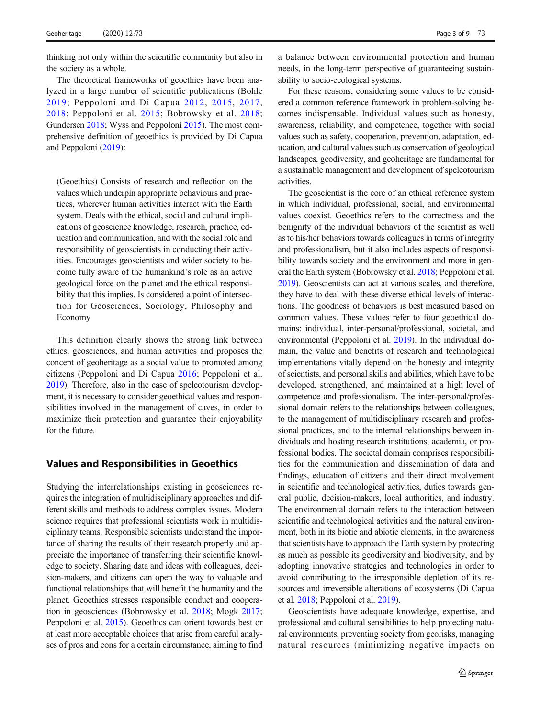thinking not only within the scientific community but also in the society as a whole.

The theoretical frameworks of geoethics have been analyzed in a large number of scientific publications (Bohle [2019;](#page-7-0) Peppoloni and Di Capua [2012,](#page-7-0) [2015](#page-7-0), [2017,](#page-8-0) [2018;](#page-8-0) Peppoloni et al. [2015;](#page-8-0) Bobrowsky et al. [2018](#page-7-0); Gundersen [2018](#page-7-0); Wyss and Peppoloni [2015](#page-8-0)). The most comprehensive definition of geoethics is provided by Di Capua and Peppoloni [\(2019](#page-7-0)):

(Geoethics) Consists of research and reflection on the values which underpin appropriate behaviours and practices, wherever human activities interact with the Earth system. Deals with the ethical, social and cultural implications of geoscience knowledge, research, practice, education and communication, and with the social role and responsibility of geoscientists in conducting their activities. Encourages geoscientists and wider society to become fully aware of the humankind's role as an active geological force on the planet and the ethical responsibility that this implies. Is considered a point of intersection for Geosciences, Sociology, Philosophy and Economy

This definition clearly shows the strong link between ethics, geosciences, and human activities and proposes the concept of geoheritage as a social value to promoted among citizens (Peppoloni and Di Capua [2016;](#page-7-0) Peppoloni et al. [2019\)](#page-8-0). Therefore, also in the case of speleotourism development, it is necessary to consider geoethical values and responsibilities involved in the management of caves, in order to maximize their protection and guarantee their enjoyability for the future.

### Values and Responsibilities in Geoethics

Studying the interrelationships existing in geosciences requires the integration of multidisciplinary approaches and different skills and methods to address complex issues. Modern science requires that professional scientists work in multidisciplinary teams. Responsible scientists understand the importance of sharing the results of their research properly and appreciate the importance of transferring their scientific knowledge to society. Sharing data and ideas with colleagues, decision-makers, and citizens can open the way to valuable and functional relationships that will benefit the humanity and the planet. Geoethics stresses responsible conduct and cooperation in geosciences (Bobrowsky et al. [2018;](#page-7-0) Mogk [2017](#page-7-0); Peppoloni et al. [2015\)](#page-8-0). Geoethics can orient towards best or at least more acceptable choices that arise from careful analyses of pros and cons for a certain circumstance, aiming to find a balance between environmental protection and human needs, in the long-term perspective of guaranteeing sustainability to socio-ecological systems.

For these reasons, considering some values to be considered a common reference framework in problem-solving becomes indispensable. Individual values such as honesty, awareness, reliability, and competence, together with social values such as safety, cooperation, prevention, adaptation, education, and cultural values such as conservation of geological landscapes, geodiversity, and geoheritage are fundamental for a sustainable management and development of speleotourism activities.

The geoscientist is the core of an ethical reference system in which individual, professional, social, and environmental values coexist. Geoethics refers to the correctness and the benignity of the individual behaviors of the scientist as well as to his/her behaviors towards colleagues in terms of integrity and professionalism, but it also includes aspects of responsibility towards society and the environment and more in general the Earth system (Bobrowsky et al. [2018](#page-7-0); Peppoloni et al. [2019\)](#page-8-0). Geoscientists can act at various scales, and therefore, they have to deal with these diverse ethical levels of interactions. The goodness of behaviors is best measured based on common values. These values refer to four geoethical domains: individual, inter-personal/professional, societal, and environmental (Peppoloni et al. [2019](#page-8-0)). In the individual domain, the value and benefits of research and technological implementations vitally depend on the honesty and integrity of scientists, and personal skills and abilities, which have to be developed, strengthened, and maintained at a high level of competence and professionalism. The inter-personal/professional domain refers to the relationships between colleagues, to the management of multidisciplinary research and professional practices, and to the internal relationships between individuals and hosting research institutions, academia, or professional bodies. The societal domain comprises responsibilities for the communication and dissemination of data and findings, education of citizens and their direct involvement in scientific and technological activities, duties towards general public, decision-makers, local authorities, and industry. The environmental domain refers to the interaction between scientific and technological activities and the natural environment, both in its biotic and abiotic elements, in the awareness that scientists have to approach the Earth system by protecting as much as possible its geodiversity and biodiversity, and by adopting innovative strategies and technologies in order to avoid contributing to the irresponsible depletion of its resources and irreversible alterations of ecosystems (Di Capua et al. [2018](#page-7-0); Peppoloni et al. [2019\)](#page-8-0).

Geoscientists have adequate knowledge, expertise, and professional and cultural sensibilities to help protecting natural environments, preventing society from georisks, managing natural resources (minimizing negative impacts on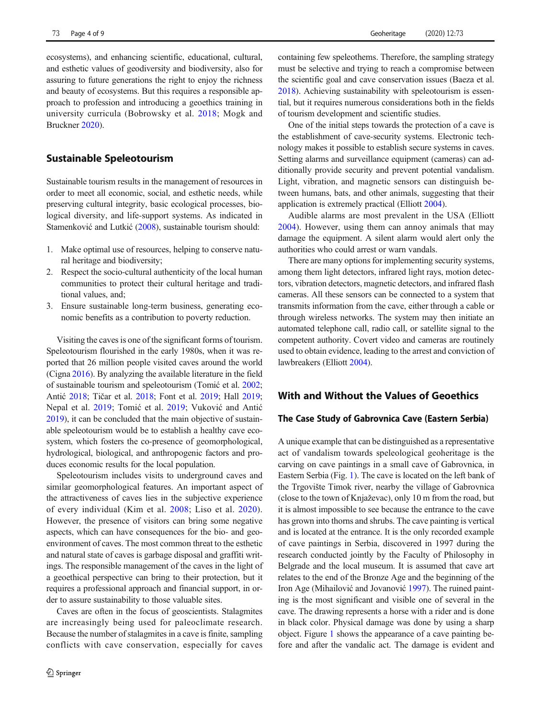ecosystems), and enhancing scientific, educational, cultural, and esthetic values of geodiversity and biodiversity, also for assuring to future generations the right to enjoy the richness and beauty of ecosystems. But this requires a responsible approach to profession and introducing a geoethics training in university curricula (Bobrowsky et al. [2018;](#page-7-0) Mogk and Bruckner [2020](#page-7-0)).

## Sustainable Speleotourism

Sustainable tourism results in the management of resources in order to meet all economic, social, and esthetic needs, while preserving cultural integrity, basic ecological processes, biological diversity, and life-support systems. As indicated in Stamenković and Lutkić [\(2008\)](#page-8-0), sustainable tourism should:

- 1. Make optimal use of resources, helping to conserve natural heritage and biodiversity;
- 2. Respect the socio-cultural authenticity of the local human communities to protect their cultural heritage and traditional values, and;
- 3. Ensure sustainable long-term business, generating economic benefits as a contribution to poverty reduction.

Visiting the caves is one of the significant forms of tourism. Speleotourism flourished in the early 1980s, when it was reported that 26 million people visited caves around the world (Cigna [2016](#page-7-0)). By analyzing the available literature in the field of sustainable tourism and speleotourism (Tomić et al. [2002](#page-8-0); Antić [2018;](#page-7-0) Tičar et al. [2018](#page-8-0); Font et al. [2019](#page-7-0); Hall [2019](#page-7-0); Nepal et al. [2019](#page-7-0); Tomić et al. [2019;](#page-8-0) Vuković and Antić [2019\)](#page-8-0), it can be concluded that the main objective of sustainable speleotourism would be to establish a healthy cave ecosystem, which fosters the co-presence of geomorphological, hydrological, biological, and anthropogenic factors and produces economic results for the local population.

Speleotourism includes visits to underground caves and similar geomorphological features. An important aspect of the attractiveness of caves lies in the subjective experience of every individual (Kim et al. [2008;](#page-7-0) Liso et al. [2020](#page-7-0)). However, the presence of visitors can bring some negative aspects, which can have consequences for the bio- and geoenvironment of caves. The most common threat to the esthetic and natural state of caves is garbage disposal and graffiti writings. The responsible management of the caves in the light of a geoethical perspective can bring to their protection, but it requires a professional approach and financial support, in order to assure sustainability to those valuable sites.

Caves are often in the focus of geoscientists. Stalagmites are increasingly being used for paleoclimate research. Because the number of stalagmites in a cave is finite, sampling conflicts with cave conservation, especially for caves containing few speleothems. Therefore, the sampling strategy must be selective and trying to reach a compromise between the scientific goal and cave conservation issues (Baeza et al. [2018\)](#page-7-0). Achieving sustainability with speleotourism is essential, but it requires numerous considerations both in the fields of tourism development and scientific studies.

One of the initial steps towards the protection of a cave is the establishment of cave-security systems. Electronic technology makes it possible to establish secure systems in caves. Setting alarms and surveillance equipment (cameras) can additionally provide security and prevent potential vandalism. Light, vibration, and magnetic sensors can distinguish between humans, bats, and other animals, suggesting that their application is extremely practical (Elliott [2004\)](#page-7-0).

Audible alarms are most prevalent in the USA (Elliott [2004](#page-7-0)). However, using them can annoy animals that may damage the equipment. A silent alarm would alert only the authorities who could arrest or warn vandals.

There are many options for implementing security systems, among them light detectors, infrared light rays, motion detectors, vibration detectors, magnetic detectors, and infrared flash cameras. All these sensors can be connected to a system that transmits information from the cave, either through a cable or through wireless networks. The system may then initiate an automated telephone call, radio call, or satellite signal to the competent authority. Covert video and cameras are routinely used to obtain evidence, leading to the arrest and conviction of lawbreakers (Elliott [2004\)](#page-7-0).

# With and Without the Values of Geoethics

### The Case Study of Gabrovnica Cave (Eastern Serbia)

A unique example that can be distinguished as a representative act of vandalism towards speleological geoheritage is the carving on cave paintings in a small cave of Gabrovnica, in Eastern Serbia (Fig. [1\)](#page-4-0). The cave is located on the left bank of the Trgovište Timok river, nearby the village of Gabrovnica (close to the town of Knjaževac), only 10 m from the road, but it is almost impossible to see because the entrance to the cave has grown into thorns and shrubs. The cave painting is vertical and is located at the entrance. It is the only recorded example of cave paintings in Serbia, discovered in 1997 during the research conducted jointly by the Faculty of Philosophy in Belgrade and the local museum. It is assumed that cave art relates to the end of the Bronze Age and the beginning of the Iron Age (Mihailović and Jovanović [1997](#page-7-0)). The ruined painting is the most significant and visible one of several in the cave. The drawing represents a horse with a rider and is done in black color. Physical damage was done by using a sharp object. Figure [1](#page-4-0) shows the appearance of a cave painting before and after the vandalic act. The damage is evident and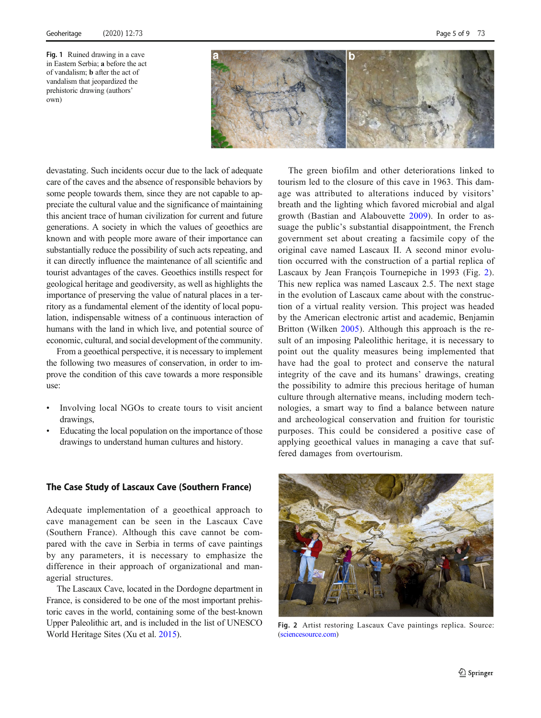

<span id="page-4-0"></span>devastating. Such incidents occur due to the lack of adequate care of the caves and the absence of responsible behaviors by some people towards them, since they are not capable to appreciate the cultural value and the significance of maintaining this ancient trace of human civilization for current and future generations. A society in which the values of geoethics are known and with people more aware of their importance can substantially reduce the possibility of such acts repeating, and it can directly influence the maintenance of all scientific and tourist advantages of the caves. Geoethics instills respect for geological heritage and geodiversity, as well as highlights the importance of preserving the value of natural places in a territory as a fundamental element of the identity of local population, indispensable witness of a continuous interaction of humans with the land in which live, and potential source of economic, cultural, and social development of the community.

From a geoethical perspective, it is necessary to implement the following two measures of conservation, in order to improve the condition of this cave towards a more responsible use:

- Involving local NGOs to create tours to visit ancient drawings,
- Educating the local population on the importance of those drawings to understand human cultures and history.

### The Case Study of Lascaux Cave (Southern France)

Adequate implementation of a geoethical approach to cave management can be seen in the Lascaux Cave (Southern France). Although this cave cannot be compared with the cave in Serbia in terms of cave paintings by any parameters, it is necessary to emphasize the difference in their approach of organizational and managerial structures.

The Lascaux Cave, located in the Dordogne department in France, is considered to be one of the most important prehistoric caves in the world, containing some of the best-known Upper Paleolithic art, and is included in the list of UNESCO World Heritage Sites (Xu et al. [2015](#page-8-0)).

Thе green biofilm and other deteriorations linked to tourism led to the closure of this cave in 1963. This damage was attributed to alterations induced by visitors' breath and the lighting which favored microbial and algal growth (Bastian and Alabouvette [2009](#page-7-0)). In order to assuage the public's substantial disappointment, the French government set about creating a facsimile copy of the original cave named Lascaux II. A second minor evolution occurred with the construction of a partial replica of Lascaux by Jean François Tournepiche in 1993 (Fig. 2). This new replica was named Lascaux 2.5. The next stage in the evolution of Lascaux came about with the construction of a virtual reality version. This project was headed by the American electronic artist and academic, Benjamin Britton (Wilken [2005\)](#page-8-0). Although this approach is the result of an imposing Paleolithic heritage, it is necessary to point out the quality measures being implemented that have had the goal to protect and conserve the natural integrity of the cave and its humans' drawings, creating the possibility to admire this precious heritage of human culture through alternative means, including modern technologies, a smart way to find a balance between nature and archeological conservation and fruition for touristic purposes. This could be considered a positive case of applying geoethical values in managing a cave that suffered damages from overtourism.



Fig. 2 Artist restoring Lascaux Cave paintings replica. Source: ([sciencesource.com](http://sciencesource.com))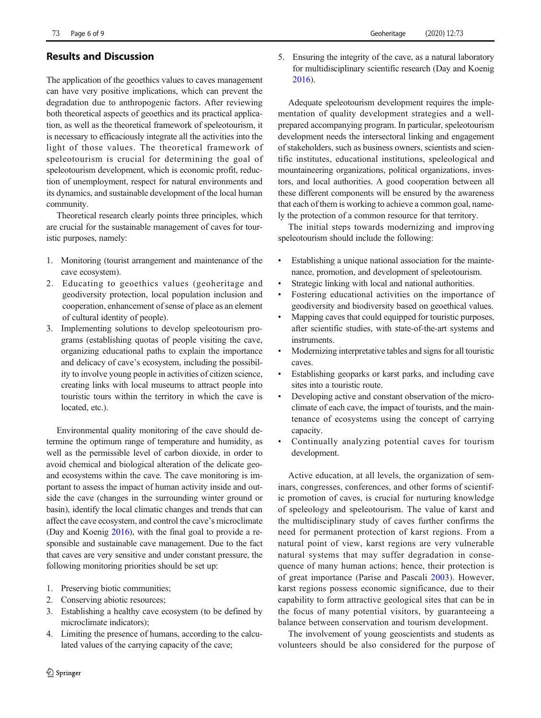# Results and Discussion

The application of the geoethics values to caves management can have very positive implications, which can prevent the degradation due to anthropogenic factors. After reviewing both theoretical aspects of geoethics and its practical application, as well as the theoretical framework of speleotourism, it is necessary to efficaciously integrate all the activities into the light of those values. The theoretical framework of speleotourism is crucial for determining the goal of speleotourism development, which is economic profit, reduction of unemployment, respect for natural environments and its dynamics, and sustainable development of the local human community.

Theoretical research clearly points three principles, which are crucial for the sustainable management of caves for touristic purposes, namely:

- 1. Monitoring (tourist arrangement and maintenance of the cave ecosystem).
- 2. Educating to geoethics values (geoheritage and geodiversity protection, local population inclusion and cooperation, enhancement of sense of place as an element of cultural identity of people).
- 3. Implementing solutions to develop speleotourism programs (establishing quotas of people visiting the cave, organizing educational paths to explain the importance and delicacy of cave's ecosystem, including the possibility to involve young people in activities of citizen science, creating links with local museums to attract people into touristic tours within the territory in which the cave is located, etc.).

Environmental quality monitoring of the cave should determine the optimum range of temperature and humidity, as well as the permissible level of carbon dioxide, in order to avoid chemical and biological alteration of the delicate geoand ecosystems within the cave. The cave monitoring is important to assess the impact of human activity inside and outside the cave (changes in the surrounding winter ground or basin), identify the local climatic changes and trends that can affect the cave ecosystem, and control the cave's microclimate (Day and Koenig [2016](#page-7-0)), with the final goal to provide a responsible and sustainable cave management. Due to the fact that caves are very sensitive and under constant pressure, the following monitoring priorities should be set up:

- 1. Preserving biotic communities;
- 2. Conserving abiotic resources;
- 3. Establishing a healthy cave ecosystem (to be defined by microclimate indicators);
- 4. Limiting the presence of humans, according to the calculated values of the carrying capacity of the cave;
- 2 Springer
- 73 Page 6 of 9 Geoheritage (2020) 12:73
	- 5. Ensuring the integrity of the cave, as a natural laboratory for multidisciplinary scientific research (Day and Koenig [2016\)](#page-7-0).

Adequate speleotourism development requires the implementation of quality development strategies and a wellprepared accompanying program. In particular, speleotourism development needs the intersectoral linking and engagement of stakeholders, such as business owners, scientists and scientific institutes, educational institutions, speleological and mountaineering organizations, political organizations, investors, and local authorities. A good cooperation between all these different components will be ensured by the awareness that each of them is working to achieve a common goal, namely the protection of a common resource for that territory.

The initial steps towards modernizing and improving speleotourism should include the following:

- & Establishing a unique national association for the maintenance, promotion, and development of speleotourism.
- & Strategic linking with local and national authorities.
- Fostering educational activities on the importance of geodiversity and biodiversity based on geoethical values.
- Mapping caves that could equipped for touristic purposes, after scientific studies, with state-of-the-art systems and instruments.
- & Modernizing interpretative tables and signs for all touristic caves.
- Establishing geoparks or karst parks, and including cave sites into a touristic route.
- Developing active and constant observation of the microclimate of each cave, the impact of tourists, and the maintenance of ecosystems using the concept of carrying capacity.
- & Continually analyzing potential caves for tourism development.

Active education, at all levels, the organization of seminars, congresses, conferences, and other forms of scientific promotion of caves, is crucial for nurturing knowledge of speleology and speleotourism. The value of karst and the multidisciplinary study of caves further confirms the need for permanent protection of karst regions. From a natural point of view, karst regions are very vulnerable natural systems that may suffer degradation in consequence of many human actions; hence, their protection is of great importance (Parise and Pascali [2003\)](#page-7-0). However, karst regions possess economic significance, due to their capability to form attractive geological sites that can be in the focus of many potential visitors, by guaranteeing a balance between conservation and tourism development.

The involvement of young geoscientists and students as volunteers should be also considered for the purpose of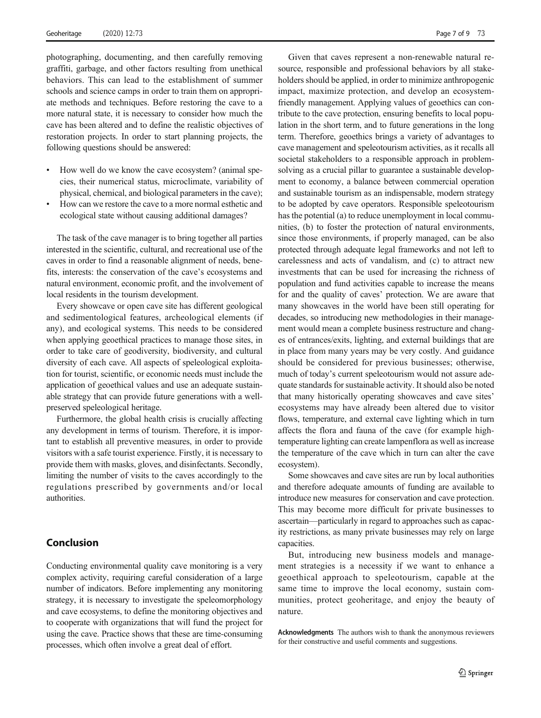photographing, documenting, and then carefully removing graffiti, garbage, and other factors resulting from unethical behaviors. This can lead to the establishment of summer schools and science camps in order to train them on appropriate methods and techniques. Before restoring the cave to a more natural state, it is necessary to consider how much the cave has been altered and to define the realistic objectives of restoration projects. In order to start planning projects, the following questions should be answered:

- & How well do we know the cave ecosystem? (animal species, their numerical status, microclimate, variability of physical, chemical, and biological parameters in the cave);
- & How can we restore the cave to a more normal esthetic and ecological state without causing additional damages?

The task of the cave manager is to bring together all parties interested in the scientific, cultural, and recreational use of the caves in order to find a reasonable alignment of needs, benefits, interests: the conservation of the cave's ecosystems and natural environment, economic profit, and the involvement of local residents in the tourism development.

Every showcave or open cave site has different geological and sedimentological features, archeological elements (if any), and ecological systems. This needs to be considered when applying geoethical practices to manage those sites, in order to take care of geodiversity, biodiversity, and cultural diversity of each cave. All aspects of speleological exploitation for tourist, scientific, or economic needs must include the application of geoethical values and use an adequate sustainable strategy that can provide future generations with a wellpreserved speleological heritage.

Furthermore, the global health crisis is crucially affecting any development in terms of tourism. Therefore, it is important to establish all preventive measures, in order to provide visitors with a safe tourist experience. Firstly, it is necessary to provide them with masks, gloves, and disinfectants. Secondly, limiting the number of visits to the caves accordingly to the regulations prescribed by governments and/or local authorities.

### Conclusion

Conducting environmental quality cave monitoring is a very complex activity, requiring careful consideration of a large number of indicators. Before implementing any monitoring strategy, it is necessary to investigate the speleomorphology and cave ecosystems, to define the monitoring objectives and to cooperate with organizations that will fund the project for using the cave. Practice shows that these are time-consuming processes, which often involve a great deal of effort.

Given that caves represent a non-renewable natural resource, responsible and professional behaviors by all stakeholders should be applied, in order to minimize anthropogenic impact, maximize protection, and develop an ecosystemfriendly management. Applying values of geoethics can contribute to the cave protection, ensuring benefits to local population in the short term, and to future generations in the long term. Therefore, geoethics brings a variety of advantages to cave management and speleotourism activities, as it recalls all societal stakeholders to a responsible approach in problemsolving as a crucial pillar to guarantee a sustainable development to economy, a balance between commercial operation and sustainable tourism as an indispensable, modern strategy to be adopted by cave operators. Responsible speleotourism has the potential (a) to reduce unemployment in local communities, (b) to foster the protection of natural environments, since those environments, if properly managed, can be also protected through adequate legal frameworks and not left to carelessness and acts of vandalism, and (c) to attract new investments that can be used for increasing the richness of population and fund activities capable to increase the means for and the quality of caves' protection. We are aware that many showcaves in the world have been still operating for decades, so introducing new methodologies in their management would mean a complete business restructure and changes of entrances/exits, lighting, and external buildings that are in place from many years may be very costly. And guidance should be considered for previous businesses; otherwise, much of today's current speleotourism would not assure adequate standards for sustainable activity. It should also be noted that many historically operating showcaves and cave sites' ecosystems may have already been altered due to visitor flows, temperature, and external cave lighting which in turn affects the flora and fauna of the cave (for example hightemperature lighting can create lampenflora as well as increase the temperature of the cave which in turn can alter the cave ecosystem).

Some showcaves and cave sites are run by local authorities and therefore adequate amounts of funding are available to introduce new measures for conservation and cave protection. This may become more difficult for private businesses to ascertain—particularly in regard to approaches such as capacity restrictions, as many private businesses may rely on large capacities.

But, introducing new business models and management strategies is a necessity if we want to enhance a geoethical approach to speleotourism, capable at the same time to improve the local economy, sustain communities, protect geoheritage, and enjoy the beauty of nature.

Acknowledgments The authors wish to thank the anonymous reviewers for their constructive and useful comments and suggestions.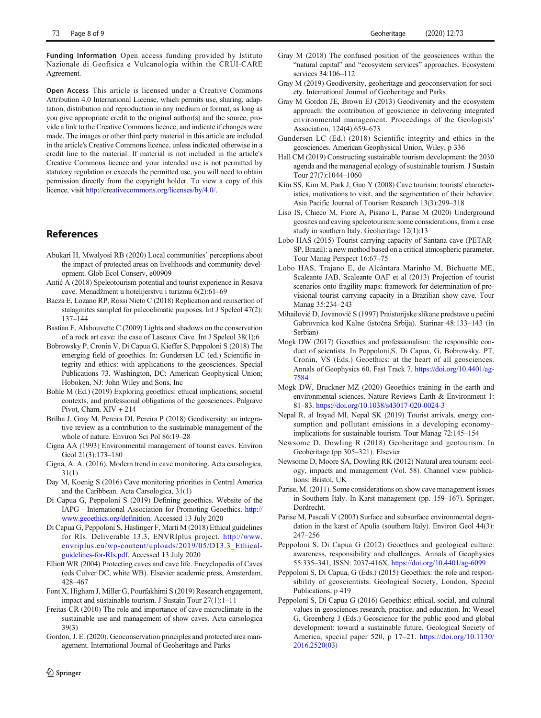<span id="page-7-0"></span>Funding Information Open access funding provided by Istituto Nazionale di Geofisica e Vulcanologia within the CRUI-CARE Agreement.

Open Access This article is licensed under a Creative Commons Attribution 4.0 International License, which permits use, sharing, adaptation, distribution and reproduction in any medium or format, as long as you give appropriate credit to the original author(s) and the source, provide a link to the Creative Commons licence, and indicate if changes were made. The images or other third party material in this article are included in the article's Creative Commons licence, unless indicated otherwise in a credit line to the material. If material is not included in the article's Creative Commons licence and your intended use is not permitted by statutory regulation or exceeds the permitted use, you will need to obtain permission directly from the copyright holder. To view a copy of this licence, visit [http://creativecommons.org/licenses/by/4.0/](https://doi.org/).

## References

- Abukari H, Mwalyosi RB (2020) Local communities' perceptions about the impact of protected areas on livelihoods and community development. Glob Ecol Conserv, e00909
- Antić A (2018) Speleotourism potential and tourist experience in Resava cave. Menadžment u hotelijerstvu i turizmu 6(2):61–69
- Baeza E, Lozano RP, Rossi Nieto C (2018) Replication and reinsertion of stalagmites sampled for paleoclimatic purposes. Int J Speleol 47(2): 137–144
- Bastian F, Alabouvette C (2009) Lights and shadows on the conservation of a rock art cave: the case of Lascaux Cave. Int J Speleol 38(1):6
- Bobrowsky P, Cronin V, Di Capua G, Kieffer S, Peppoloni S (2018) The emerging field of geoethics. In: Gundersen LC (ed.) Scientific integrity and ethics: with applications to the geosciences. Special Publications 73. Washington, DC: American Geophysical Union; Hoboken, NJ: John Wiley and Sons, Inc
- Bohle M (Ed.) (2019) Exploring geoethics: ethical implications, societal contexts, and professional obligations of the geosciences. Palgrave Pivot, Cham, XIV + 214
- Brilha J, Gray M, Pereira DI, Pereira P (2018) Geodiversity: an integrative review as a contribution to the sustainable management of the whole of nature. Environ Sci Pol 86:19–28
- Cigna AA (1993) Environmental management of tourist caves. Environ Geol 21(3):173–180
- Cigna, A. A. (2016). Modern trend in cave monitoring. Acta carsologica, 31(1)
- Day M, Koenig S (2016) Cave monitoring priorities in Central America and the Caribbean. Acta Carsologica, 31(1)
- Di Capua G, Peppoloni S (2019) Defining geoethics. Website of the IAPG - International Association for Promoting Geoethics. [http://](http://www.geoethics.org/definition) [www.geoethics.org/definition](http://www.geoethics.org/definition). Accessed 13 July 2020
- Di Capua G, Peppoloni S, Haslinger F, Marti M (2018) Ethical guidelines for RIs. Deliverable 13.3, ENVRIplus project. [http://www.](http://www.envriplus.eu/wpontent/uploads/2019/05/D13.3_Ethicaluidelinesor-Is.pdf) [envriplus.eu/wp-content/uploads/2019/05/D13.3\\_Ethical](http://www.envriplus.eu/wpontent/uploads/2019/05/D13.3_Ethicaluidelinesor-Is.pdf)[guidelines-for-RIs.pdf](http://www.envriplus.eu/wpontent/uploads/2019/05/D13.3_Ethicaluidelinesor-Is.pdf). Accessed 13 July 2020
- Elliott WR (2004) Protecting caves and cave life. Encyclopedia of Caves (eds Culver DC, white WB). Elsevier academic press, Amsterdam, 428–467
- Font X, Higham J, Miller G, Pourfakhimi S (2019) Research engagement, impact and sustainable tourism. J Sustain Tour 27(1):1–11
- Freitas CR (2010) The role and importance of cave microclimate in the sustainable use and management of show caves. Acta carsologica 39(3)
- Gordon, J. E. (2020). Geoconservation principles and protected area management. International Journal of Geoheritage and Parks
- Gray M (2018) The confused position of the geosciences within the "natural capital" and "ecosystem services" approaches. Ecosystem services 34:106–112
- Gray M (2019) Geodiversity, geoheritage and geoconservation for society. International Journal of Geoheritage and Parks
- Gray M Gordon JE, Brown EJ (2013) Geodiversity and the ecosystem approach: the contribution of geoscience in delivering integrated environmental management. Proceedings of the Geologists' Association, 124(4):659–673
- Gundersen LC (Ed.) (2018) Scientific integrity and ethics in the geosciences. American Geophysical Union, Wiley, p 336
- Hall CM (2019) Constructing sustainable tourism development: the 2030 agenda and the managerial ecology of sustainable tourism. J Sustain Tour 27(7):1044–1060
- Kim SS, Kim M, Park J, Guo Y (2008) Cave tourism: tourists' characteristics, motivations to visit, and the segmentation of their behavior. Asia Pacific Journal of Tourism Research 13(3):299–318
- Liso IS, Chieco M, Fiore A, Pisano L, Parise M (2020) Underground geosites and caving speleotourism: some considerations, from a case study in southern Italy. Geoheritage 12(1):13
- Lobo HAS (2015) Tourist carrying capacity of Santana cave (PETAR-SP, Brazil): a new method based on a critical atmospheric parameter. Tour Manag Perspect 16:67–75
- Lobo HAS, Trajano E, de Alcântara Marinho M, Bichuette ME, Scaleante JAB, Scaleante OAF et al (2013) Projection of tourist scenarios onto fragility maps: framework for determination of provisional tourist carrying capacity in a Brazilian show cave. Tour Manag 35:234–243
- Mihailović D, Jovanović S (1997) Praistorijske slikane predstave u pećini Gabrovnica kod Kalne (istočna Srbija). Starinar 48:133–143 (in Serbian)
- Mogk DW (2017) Geoethics and professionalism: the responsible conduct of scientists. In Peppoloni,S, Di Capua, G, Bobrowsky, PT, Cronin, VS (Eds.) Geoethics: at the heart of all geosciences. Annals of Geophysics 60, Fast Track 7. [https://doi.org/10.4401/ag-](https://doi.org/10.4401/ag-7584)[7584](https://doi.org/10.4401/ag-7584)
- Mogk DW, Bruckner MZ (2020) Geoethics training in the earth and environmental sciences. Nature Reviews Earth & Environment 1: 81–83. <https://doi.org/10.1038/s43017-020-0024-3>
- Nepal R, al Irsyad MI, Nepal SK (2019) Tourist arrivals, energy consumption and pollutant emissions in a developing economy– implications for sustainable tourism. Tour Manag 72:145–154
- Newsome D, Dowling R (2018) Geoheritage and geotourism. In Geoheritage (pp 305–321). Elsevier
- Newsome D, Moore SA, Dowling RK (2012) Natural area tourism: ecology, impacts and management (Vol. 58). Channel view publications: Bristol, UK
- Parise, M. (2011). Some considerations on show cave management issues in Southern Italy. In Karst management (pp. 159–167). Springer, Dordrecht.
- Parise M, Pascali V (2003) Surface and subsurface environmental degradation in the karst of Apulia (southern Italy). Environ Geol 44(3): 247–256
- Peppoloni S, Di Capua G (2012) Geoethics and geological culture: awareness, responsibility and challenges. Annals of Geophysics 55:335–341, ISSN: 2037-416X. <https://doi.org/10.4401/ag-6099>
- Peppoloni S, Di Capua, G (Eds.) (2015) Geoethics: the role and responsibility of geoscientists. Geological Society, London, Special Publications, p 419
- Peppoloni S, Di Capua G (2016) Geoethics: ethical, social, and cultural values in geosciences research, practice, and education. In: Wessel G, Greenberg J (Eds.) Geoscience for the public good and global development: toward a sustainable future. Geological Society of America, special paper 520, p 17–21. [https://doi.org/10.1130/](https://doi.org/10.1130/2016.2520(03)) [2016.2520\(03\)](https://doi.org/10.1130/2016.2520(03))